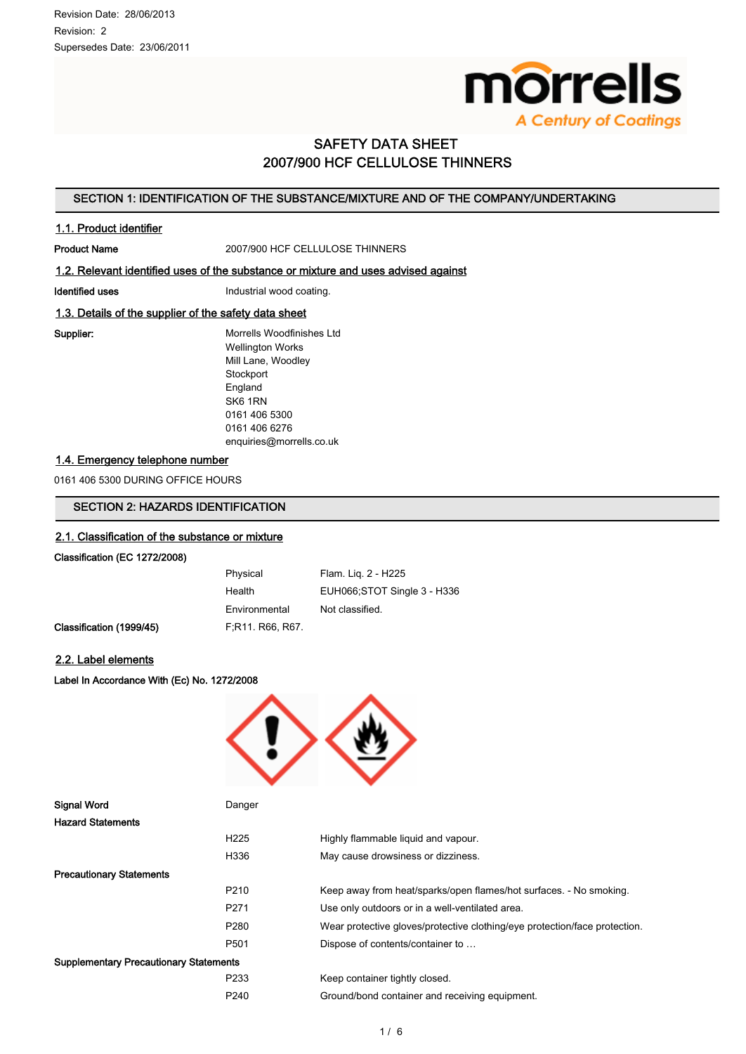

# SAFETY DATA SHEET 2007/900 HCF CELLULOSE THINNERS

# SECTION 1: IDENTIFICATION OF THE SUBSTANCE/MIXTURE AND OF THE COMPANY/UNDERTAKING

## 1.1. Product identifier

Product Name 2007/900 HCF CELLULOSE THINNERS

#### 1.2. Relevant identified uses of the substance or mixture and uses advised against

Identified uses **Industrial wood coating.** 

## 1.3. Details of the supplier of the safety data sheet

Supplier: Morrells Woodfinishes Ltd Wellington Works Mill Lane, Woodley **Stockport** England SK6 1RN 0161 406 5300 0161 406 6276 enquiries@morrells.co.uk

## 1.4. Emergency telephone number

0161 406 5300 DURING OFFICE HOURS

# SECTION 2: HAZARDS IDENTIFICATION

#### 2.1. Classification of the substance or mixture

#### Classification (EC 1272/2008)

|                          | Physical         | Flam. Lig. 2 - H225         |
|--------------------------|------------------|-----------------------------|
|                          | Health           | EUH066;STOT Single 3 - H336 |
|                          | Environmental    | Not classified.             |
| Classification (1999/45) | F.R11, R66, R67. |                             |

## 2.2. Label elements

Label In Accordance With (Ec) No. 1272/2008



| <b>Signal Word</b>                            | Danger           |                                                                            |
|-----------------------------------------------|------------------|----------------------------------------------------------------------------|
| <b>Hazard Statements</b>                      |                  |                                                                            |
|                                               | H <sub>225</sub> | Highly flammable liquid and vapour.                                        |
|                                               | H336             | May cause drowsiness or dizziness.                                         |
| <b>Precautionary Statements</b>               |                  |                                                                            |
|                                               | P <sub>210</sub> | Keep away from heat/sparks/open flames/hot surfaces. - No smoking.         |
|                                               | P <sub>271</sub> | Use only outdoors or in a well-ventilated area.                            |
|                                               | P <sub>280</sub> | Wear protective gloves/protective clothing/eye protection/face protection. |
|                                               | P <sub>501</sub> | Dispose of contents/container to                                           |
| <b>Supplementary Precautionary Statements</b> |                  |                                                                            |
|                                               | P233             | Keep container tightly closed.                                             |
|                                               | P240             | Ground/bond container and receiving equipment.                             |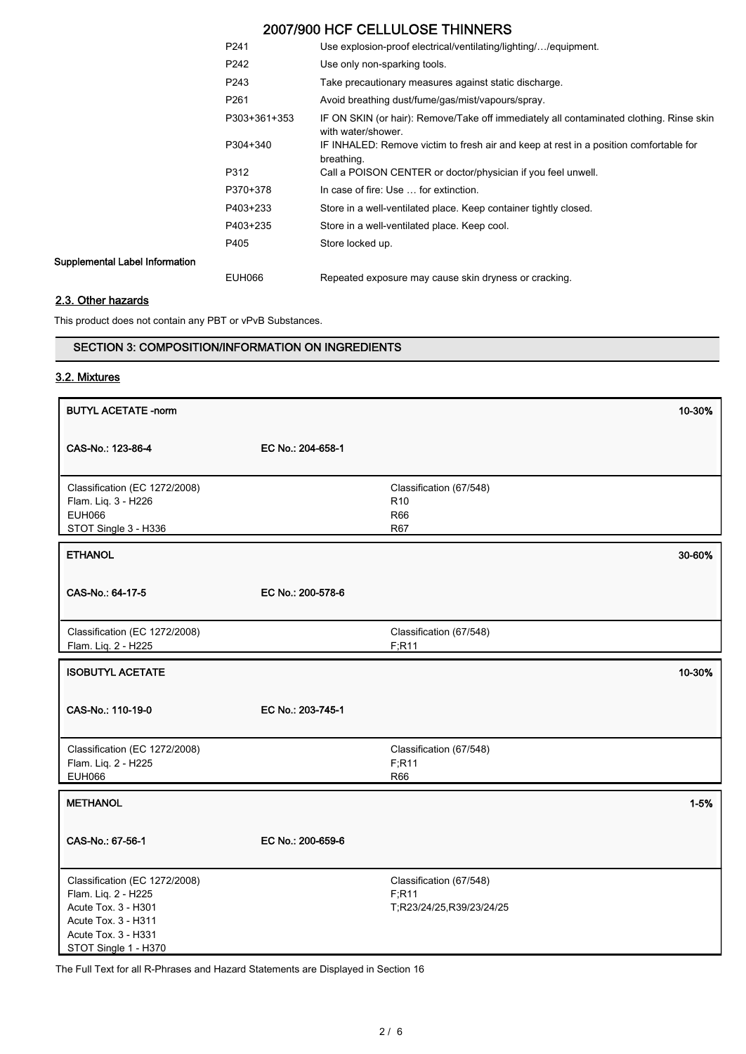# 2007/900 HCF CELLULOSE THINNERS

| P <sub>241</sub> | Use explosion-proof electrical/ventilating/lighting//equipment.                                               |
|------------------|---------------------------------------------------------------------------------------------------------------|
| P242             | Use only non-sparking tools.                                                                                  |
| P <sub>243</sub> | Take precautionary measures against static discharge.                                                         |
| P <sub>261</sub> | Avoid breathing dust/fume/gas/mist/vapours/spray.                                                             |
| P303+361+353     | IF ON SKIN (or hair): Remove/Take off immediately all contaminated clothing. Rinse skin<br>with water/shower. |
| P304+340         | IF INHALED: Remove victim to fresh air and keep at rest in a position comfortable for<br>breathing.           |
| P312             | Call a POISON CENTER or doctor/physician if you feel unwell.                                                  |
| P370+378         | In case of fire: Use  for extinction.                                                                         |
| P403+233         | Store in a well-ventilated place. Keep container tightly closed.                                              |
| P403+235         | Store in a well-ventilated place. Keep cool.                                                                  |
| P405             | Store locked up.                                                                                              |
|                  |                                                                                                               |
| <b>EUH066</b>    | Repeated exposure may cause skin dryness or cracking.                                                         |

# 2.3. Other hazards

Supplemental Label Information

This product does not contain any PBT or vPvB Substances.

# SECTION 3: COMPOSITION/INFORMATION ON INGREDIENTS

# 3.2. Mixtures

| <b>BUTYL ACETATE -norm</b>                                                                                                                        |                   |                                                               | 10-30%   |
|---------------------------------------------------------------------------------------------------------------------------------------------------|-------------------|---------------------------------------------------------------|----------|
| CAS-No.: 123-86-4                                                                                                                                 | EC No.: 204-658-1 |                                                               |          |
| Classification (EC 1272/2008)<br>Flam. Liq. 3 - H226<br><b>EUH066</b><br>STOT Single 3 - H336                                                     |                   | Classification (67/548)<br>R <sub>10</sub><br>R66<br>R67      |          |
| <b>ETHANOL</b>                                                                                                                                    |                   |                                                               | 30-60%   |
| CAS-No.: 64-17-5                                                                                                                                  | EC No.: 200-578-6 |                                                               |          |
| Classification (EC 1272/2008)<br>Flam. Liq. 2 - H225                                                                                              |                   | Classification (67/548)<br>F; R11                             |          |
| <b>ISOBUTYL ACETATE</b>                                                                                                                           |                   |                                                               | 10-30%   |
| CAS-No.: 110-19-0                                                                                                                                 | EC No.: 203-745-1 |                                                               |          |
| Classification (EC 1272/2008)<br>Flam. Liq. 2 - H225<br><b>EUH066</b>                                                                             |                   | Classification (67/548)<br>F;R11<br>R66                       |          |
| <b>METHANOL</b>                                                                                                                                   |                   |                                                               | $1 - 5%$ |
| CAS-No.: 67-56-1                                                                                                                                  | EC No.: 200-659-6 |                                                               |          |
| Classification (EC 1272/2008)<br>Flam. Liq. 2 - H225<br>Acute Tox. 3 - H301<br>Acute Tox. 3 - H311<br>Acute Tox. 3 - H331<br>STOT Single 1 - H370 |                   | Classification (67/548)<br>F; R11<br>T;R23/24/25,R39/23/24/25 |          |

The Full Text for all R-Phrases and Hazard Statements are Displayed in Section 16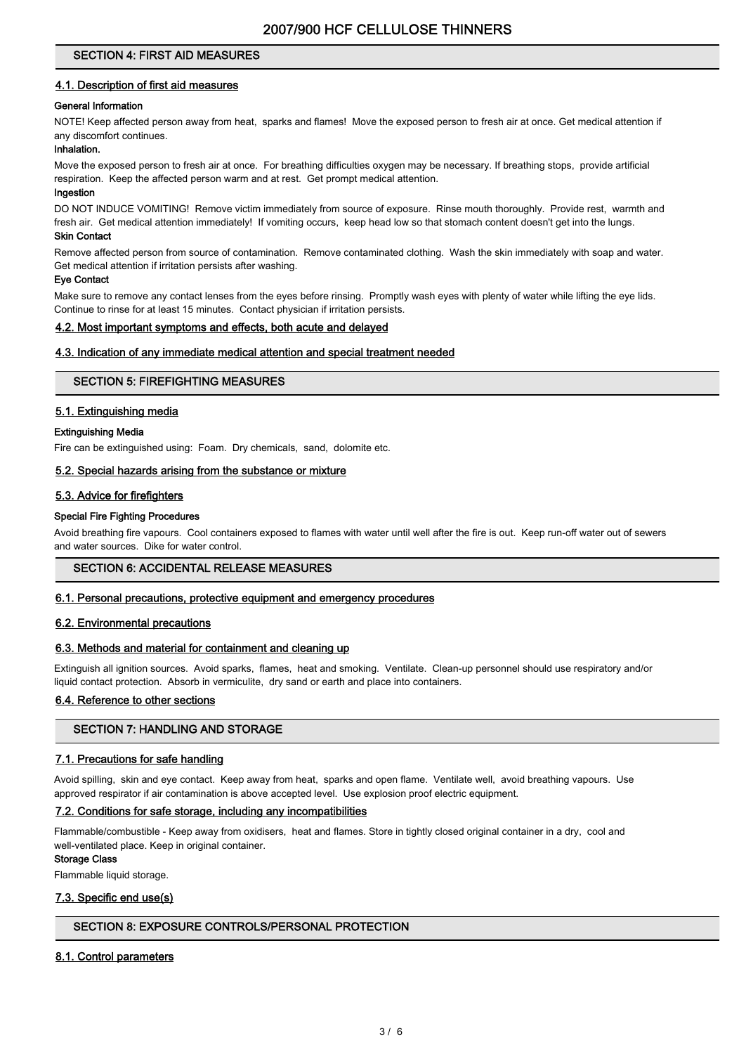# SECTION 4: FIRST AID MEASURES

## 4.1. Description of first aid measures

## General Information

NOTE! Keep affected person away from heat, sparks and flames! Move the exposed person to fresh air at once. Get medical attention if any discomfort continues.

## Inhalation.

Move the exposed person to fresh air at once. For breathing difficulties oxygen may be necessary. If breathing stops, provide artificial respiration. Keep the affected person warm and at rest. Get prompt medical attention.

## Ingestion

DO NOT INDUCE VOMITING! Remove victim immediately from source of exposure. Rinse mouth thoroughly. Provide rest, warmth and fresh air. Get medical attention immediately! If vomiting occurs, keep head low so that stomach content doesn't get into the lungs. Skin Contact

#### Remove affected person from source of contamination. Remove contaminated clothing. Wash the skin immediately with soap and water. Get medical attention if irritation persists after washing.

#### Eye Contact

Make sure to remove any contact lenses from the eyes before rinsing. Promptly wash eyes with plenty of water while lifting the eye lids. Continue to rinse for at least 15 minutes. Contact physician if irritation persists.

#### 4.2. Most important symptoms and effects, both acute and delayed

## 4.3. Indication of any immediate medical attention and special treatment needed

## SECTION 5: FIREFIGHTING MEASURES

## 5.1. Extinguishing media

#### Extinguishing Media

Fire can be extinguished using: Foam. Dry chemicals, sand, dolomite etc.

#### 5.2. Special hazards arising from the substance or mixture

## 5.3. Advice for firefighters

#### Special Fire Fighting Procedures

Avoid breathing fire vapours. Cool containers exposed to flames with water until well after the fire is out. Keep run-off water out of sewers and water sources. Dike for water control.

## SECTION 6: ACCIDENTAL RELEASE MEASURES

#### 6.1. Personal precautions, protective equipment and emergency procedures

## 6.2. Environmental precautions

#### 6.3. Methods and material for containment and cleaning up

Extinguish all ignition sources. Avoid sparks, flames, heat and smoking. Ventilate. Clean-up personnel should use respiratory and/or liquid contact protection. Absorb in vermiculite, dry sand or earth and place into containers.

#### 6.4. Reference to other sections

## SECTION 7: HANDLING AND STORAGE

#### 7.1. Precautions for safe handling

Avoid spilling, skin and eye contact. Keep away from heat, sparks and open flame. Ventilate well, avoid breathing vapours. Use approved respirator if air contamination is above accepted level. Use explosion proof electric equipment.

## 7.2. Conditions for safe storage, including any incompatibilities

Flammable/combustible - Keep away from oxidisers, heat and flames. Store in tightly closed original container in a dry, cool and well-ventilated place. Keep in original container.

#### Storage Class

Flammable liquid storage.

#### 7.3. Specific end use(s)

# SECTION 8: EXPOSURE CONTROLS/PERSONAL PROTECTION

## 8.1. Control parameters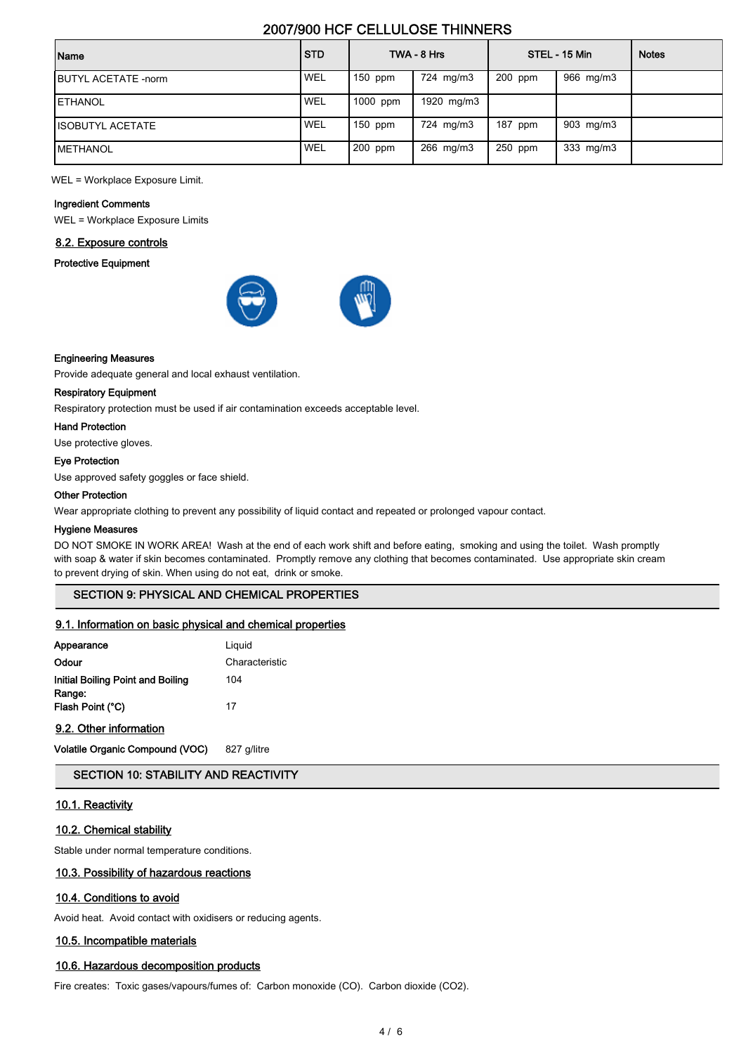# 2007/900 HCF CELLULOSE THINNERS

| Name                        | <b>STD</b> |           | TWA - 8 Hrs |           | STEL - 15 Min      | <b>Notes</b> |
|-----------------------------|------------|-----------|-------------|-----------|--------------------|--------------|
| <b>IBUTYL ACETATE -norm</b> | <b>WEL</b> | $150$ ppm | 724 mg/m3   | $200$ ppm | 966 mg/m3          |              |
| <b>IETHANOL</b>             | <b>WEL</b> | 1000 ppm  | 1920 mg/m3  |           |                    |              |
| <b>ISOBUTYL ACETATE</b>     | <b>WEL</b> | $150$ ppm | 724 mg/m3   | 187 ppm   | 903 mg/m3          |              |
| <b>IMETHANOL</b>            | <b>WEL</b> | 200 ppm   | 266 mg/m3   | $250$ ppm | $333 \text{ mg/m}$ |              |

WEL = Workplace Exposure Limit.

#### Ingredient Comments

WEL = Workplace Exposure Limits

#### 8.2. Exposure controls

## Protective Equipment



#### Engineering Measures

Provide adequate general and local exhaust ventilation.

#### Respiratory Equipment

Respiratory protection must be used if air contamination exceeds acceptable level.

## Hand Protection

Use protective gloves.

#### Eye Protection

Use approved safety goggles or face shield.

#### Other Protection

Wear appropriate clothing to prevent any possibility of liquid contact and repeated or prolonged vapour contact.

#### Hygiene Measures

DO NOT SMOKE IN WORK AREA! Wash at the end of each work shift and before eating, smoking and using the toilet. Wash promptly with soap & water if skin becomes contaminated. Promptly remove any clothing that becomes contaminated. Use appropriate skin cream to prevent drying of skin. When using do not eat, drink or smoke.

# SECTION 9: PHYSICAL AND CHEMICAL PROPERTIES

#### 9.1. Information on basic physical and chemical properties

| Appearance                        | Liguid         |
|-----------------------------------|----------------|
| Odour                             | Characteristic |
| Initial Boiling Point and Boiling | 104            |
| Range:<br>Flash Point (°C)        | 17             |

#### 9.2. Other information

Volatile Organic Compound (VOC) 827 g/litre

## SECTION 10: STABILITY AND REACTIVITY

#### 10.1. Reactivity

## 10.2. Chemical stability

Stable under normal temperature conditions.

# 10.3. Possibility of hazardous reactions

## 10.4. Conditions to avoid

Avoid heat. Avoid contact with oxidisers or reducing agents.

## 10.5. Incompatible materials

## 10.6. Hazardous decomposition products

Fire creates: Toxic gases/vapours/fumes of: Carbon monoxide (CO). Carbon dioxide (CO2).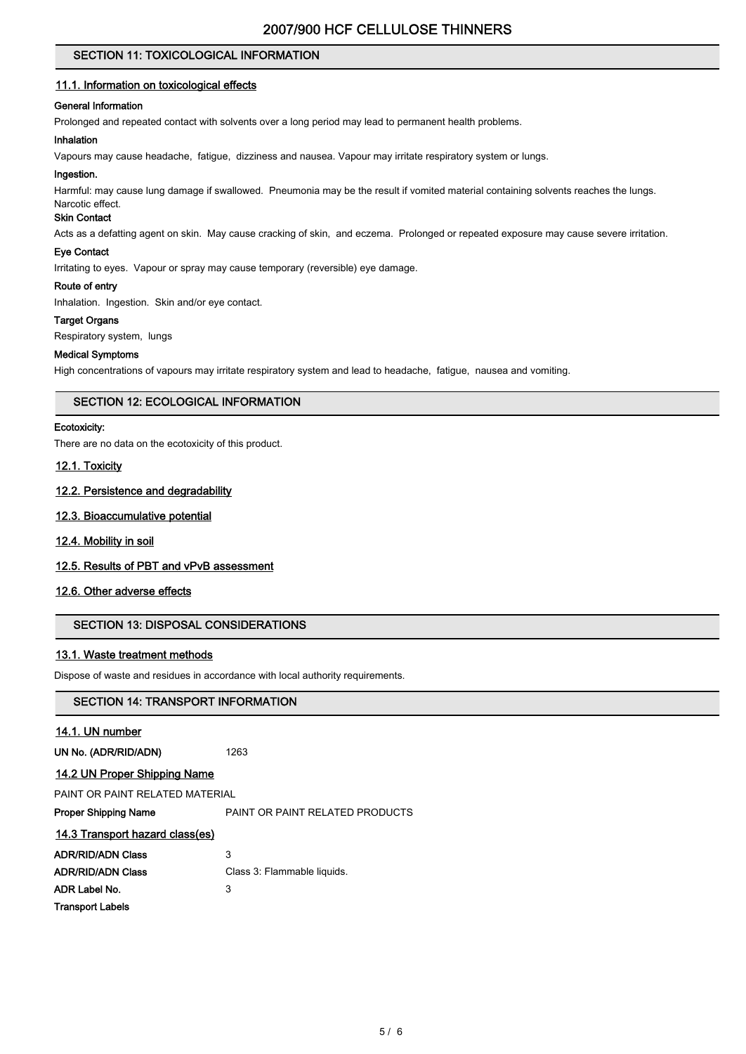# SECTION 11: TOXICOLOGICAL INFORMATION

### 11.1. Information on toxicological effects

## General Information

Prolonged and repeated contact with solvents over a long period may lead to permanent health problems.

#### Inhalation

Vapours may cause headache, fatigue, dizziness and nausea. Vapour may irritate respiratory system or lungs.

#### Ingestion.

Harmful: may cause lung damage if swallowed. Pneumonia may be the result if vomited material containing solvents reaches the lungs.

# Narcotic effect.

# Skin Contact

Acts as a defatting agent on skin. May cause cracking of skin, and eczema. Prolonged or repeated exposure may cause severe irritation.

## Eye Contact

Irritating to eyes. Vapour or spray may cause temporary (reversible) eye damage.

#### Route of entry

Inhalation. Ingestion. Skin and/or eye contact.

## **Target Organs**

Respiratory system, lungs

#### Medical Symptoms

High concentrations of vapours may irritate respiratory system and lead to headache, fatigue, nausea and vomiting.

## SECTION 12: ECOLOGICAL INFORMATION

#### Ecotoxicity:

There are no data on the ecotoxicity of this product.

## 12.1. Toxicity

## 12.2. Persistence and degradability

## 12.3. Bioaccumulative potential

## 12.4. Mobility in soil

## 12.5. Results of PBT and vPvB assessment

# 12.6. Other adverse effects

## SECTION 13: DISPOSAL CONSIDERATIONS

## 13.1. Waste treatment methods

Dispose of waste and residues in accordance with local authority requirements.

1263

## SECTION 14: TRANSPORT INFORMATION

## 14.1. UN number

| UN No. (ADR/RID/ADN) |  |
|----------------------|--|
|----------------------|--|

## 14.2 UN Proper Shipping Name

PAINT OR PAINT RELATED MATERIAL

Proper Shipping Name **PAINT OR PAINT RELATED PRODUCTS** 

# 14.3 Transport hazard class(es)

| <b>ADR/RID/ADN Class</b> | 3                           |
|--------------------------|-----------------------------|
| <b>ADR/RID/ADN Class</b> | Class 3: Flammable liquids. |
| ADR Label No.            | 3                           |
| <b>Transport Labels</b>  |                             |